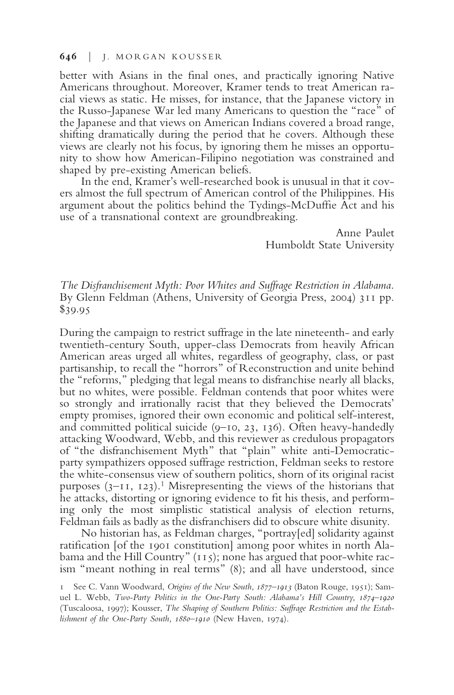## **646** | J. MORGAN KOUSSER

better with Asians in the final ones, and practically ignoring Native Americans throughout. Moreover, Kramer tends to treat American racial views as static. He misses, for instance, that the Japanese victory in the Russo-Japanese War led many Americans to question the "race" of the Japanese and that views on American Indians covered a broad range, shifting dramatically during the period that he covers. Although these views are clearly not his focus, by ignoring them he misses an opportu- nity to show how American-Filipino negotiation was constrained and shaped by pre-existing American beliefs.

ers almost the full spectrum of American control of the Philippines. His argument about the politics behind the Tydings-McDuffie Act and his use of a transnational context are groundbreaking.

> Anne Paulet Humboldt State University

*The Disfranchisement Myth: Poor Whites and Suffrage Restriction in Alabama.* By Glenn Feldman (Athens, University of Georgia Press, 2004) 311 pp. \$39.95

During the campaign to restrict suffrage in the late nineteenth- and early twentieth-century South, upper-class Democrats from heavily African American areas urged all whites, regardless of geography, class, or past partisanship, to recall the "horrors" of Reconstruction and unite behind the "reforms," pledging that legal means to disfranchise nearly all blacks, but no whites, were possible. Feldman contends that poor whites were so strongly and irrationally racist that they believed the Democrats' empty promises, ignored their own economic and political self-interest, and committed political suicide (9–10, 23, 136). Often heavy-handedly attacking Woodward, Webb, and this reviewer as credulous propagators of "the disfranchisement Myth" that "plain" white anti-Democraticparty sympathizers opposed suffrage restriction, Feldman seeks to restore the white-consensus view of southern politics, shorn of its original racist purposes  $(3-11, 123)$ .<sup>1</sup> Misrepresenting the views of the historians that he attacks, distorting or ignoring evidence to fit his thesis, and performing only the most simplistic statistical analysis of election returns, Feldman fails as badly as the disfranchisers did to obscure white disunity.

No historian has, as Feldman charges, "portray[ed] solidarity against ratification [of the 1901 constitution] among poor whites in north Alabama and the Hill Country" (115); none has argued that poor-white racism "meant nothing in real terms" (8); and all have understood, since

<sup>1</sup> See C. Vann Woodward, *Origins of the New South, 1877–1913* (Baton Rouge, 1951); Samuel L. Webb, *Two-Party Politics in the One-Party South: Alabama's Hill Country, 1874–1920* (Tuscaloosa, 1997); Kousser, *The Shaping of Southern Politics: Suffrage Restriction and the Establishment of the One-Party South, 1880–1910* (New Haven, 1974).